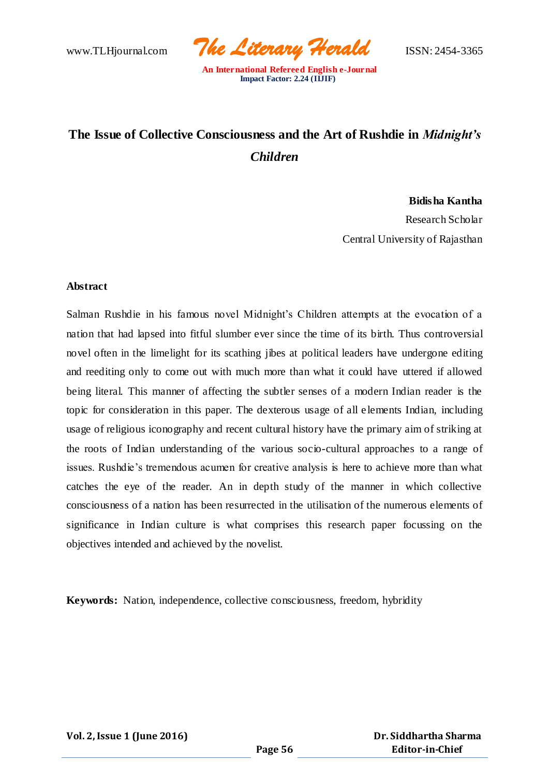www.TLHjournal.com *The Literary Herald*ISSN: 2454-3365

# **The Issue of Collective Consciousness and the Art of Rushdie in** *Midnight's Children*

### **Bidisha Kantha**

Research Scholar Central University of Rajasthan

### **Abstract**

Salman Rushdie in his famous novel Midnight's Children attempts at the evocation of a nation that had lapsed into fitful slumber ever since the time of its birth. Thus controversial novel often in the limelight for its scathing jibes at political leaders have undergone editing and reediting only to come out with much more than what it could have uttered if allowed being literal. This manner of affecting the subtler senses of a modern Indian reader is the topic for consideration in this paper. The dexterous usage of all e lements Indian, including usage of religious iconography and recent cultural history have the primary aim of striking at the roots of Indian understanding of the various socio-cultural approaches to a range of issues. Rushdie's tremendous acumen for creative analysis is here to achieve more than what catches the eye of the reader. An in depth study of the manner in which collective consciousness of a nation has been resurrected in the utilisation of the numerous elements of significance in Indian culture is what comprises this research paper focussing on the objectives intended and achieved by the novelist.

**Keywords:** Nation, independence, collective consciousness, freedom, hybridity

**Vol. 2, Issue 1 (June 2016)**

 **Dr. Siddhartha Sharma Editor-in-Chief**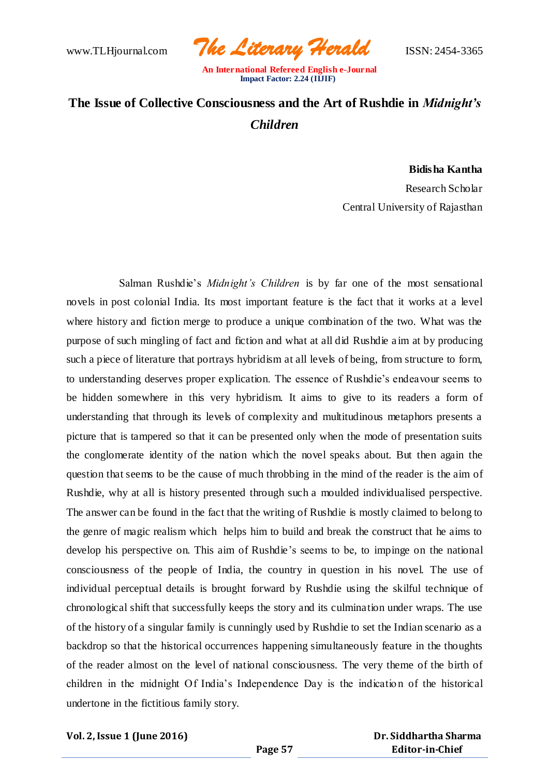www.TLHjournal.com *The Literary Herald*ISSN: 2454-3365

# **The Issue of Collective Consciousness and the Art of Rushdie in** *Midnight's Children*

### **Bidisha Kantha**

Research Scholar Central University of Rajasthan

Salman Rushdie's *Midnight's Children* is by far one of the most sensational novels in post colonial India. Its most important feature is the fact that it works at a level where history and fiction merge to produce a unique combination of the two. What was the purpose of such mingling of fact and fiction and what at all did Rushdie aim at by producing such a piece of literature that portrays hybridism at all levels of being, from structure to form, to understanding deserves proper explication. The essence of Rushdie's endeavour seems to be hidden somewhere in this very hybridism. It aims to give to its readers a form of understanding that through its levels of complexity and multitudinous metaphors presents a picture that is tampered so that it can be presented only when the mode of presentation suits the conglomerate identity of the nation which the novel speaks about. But then again the question that seems to be the cause of much throbbing in the mind of the reader is the aim of Rushdie, why at all is history presented through such a moulded individualised perspective. The answer can be found in the fact that the writing of Rushdie is mostly claimed to belong to the genre of magic realism which helps him to build and break the construct that he aims to develop his perspective on. This aim of Rushdie's seems to be, to impinge on the national consciousness of the people of India, the country in question in his novel. The use of individual perceptual details is brought forward by Rushdie using the skilful technique of chronological shift that successfully keeps the story and its culmination under wraps. The use of the history of a singular family is cunningly used by Rushdie to set the Indian scenario as a backdrop so that the historical occurrences happening simultaneously feature in the thoughts of the reader almost on the level of national consciousness. The very theme of the birth of children in the midnight Of India's Independence Day is the indicatio n of the historical undertone in the fictitious family story.

### **Vol. 2, Issue 1 (June 2016)**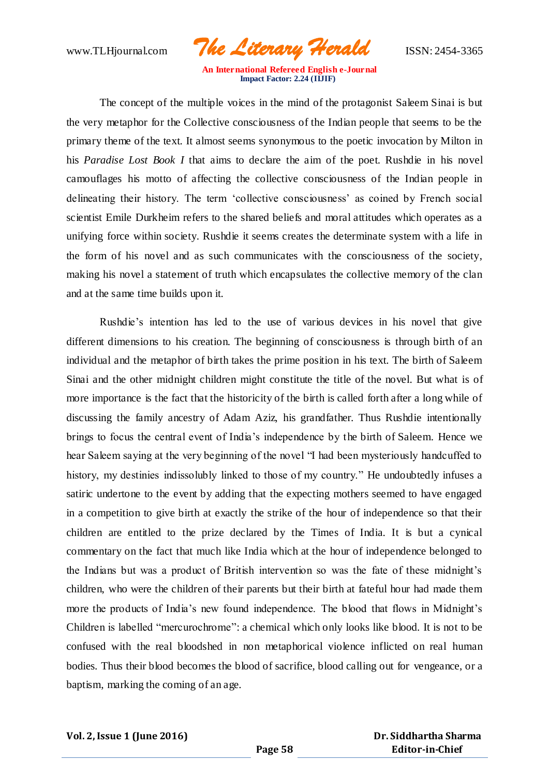www.TLHjournal.com *The Literary Herald*ISSN: 2454-3365

The concept of the multiple voices in the mind of the protagonist Saleem Sinai is but the very metaphor for the Collective consciousness of the Indian people that seems to be the primary theme of the text. It almost seems synonymous to the poetic invocation by Milton in his *Paradise Lost Book I* that aims to declare the aim of the poet. Rushdie in his novel camouflages his motto of affecting the collective consciousness of the Indian people in delineating their history. The term 'collective consciousness' as coined by French social scientist Emile Durkheim refers to the shared beliefs and moral attitudes which operates as a unifying force within society. Rushdie it seems creates the determinate system with a life in the form of his novel and as such communicates with the consciousness of the society, making his novel a statement of truth which encapsulates the collective memory of the clan and at the same time builds upon it.

Rushdie's intention has led to the use of various devices in his novel that give different dimensions to his creation. The beginning of consciousness is through birth of an individual and the metaphor of birth takes the prime position in his text. The birth of Saleem Sinai and the other midnight children might constitute the title of the novel. But what is of more importance is the fact that the historicity of the birth is called forth after a long while of discussing the family ancestry of Adam Aziz, his grandfather. Thus Rushdie intentionally brings to focus the central event of India's independence by the birth of Saleem. Hence we hear Saleem saying at the very beginning of the novel "I had been mysteriously handcuffed to history, my destinies indissolubly linked to those of my country." He undoubtedly infuses a satiric undertone to the event by adding that the expecting mothers seemed to have engaged in a competition to give birth at exactly the strike of the hour of independence so that their children are entitled to the prize declared by the Times of India. It is but a cynical commentary on the fact that much like India which at the hour of independence belonged to the Indians but was a product of British intervention so was the fate of these midnight's children, who were the children of their parents but their birth at fateful hour had made them more the products of India's new found independence. The blood that flows in Midnight's Children is labelled "mercurochrome": a chemical which only looks like blood. It is not to be confused with the real bloodshed in non metaphorical violence inflicted on real human bodies. Thus their blood becomes the blood of sacrifice, blood calling out for vengeance, or a baptism, marking the coming of an age.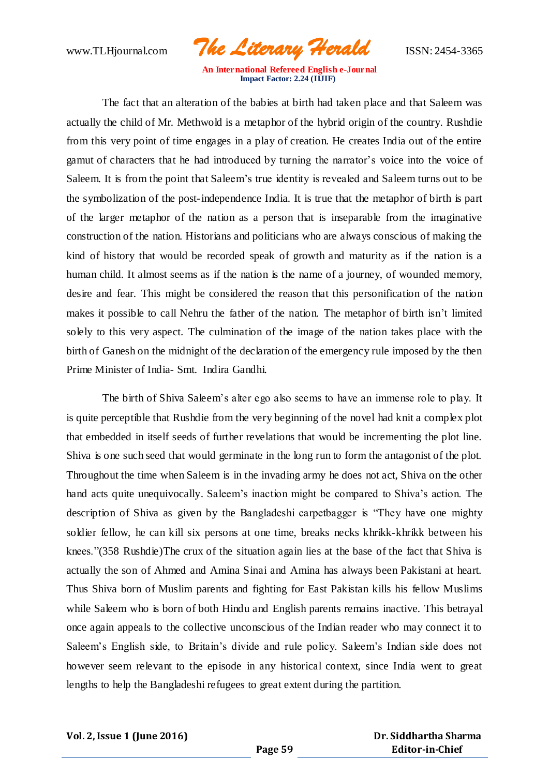www.TLHjournal.com *The Literary Herald*ISSN: 2454-3365

The fact that an alteration of the babies at birth had taken place and that Saleem was actually the child of Mr. Methwold is a metaphor of the hybrid origin of the country. Rushdie from this very point of time engages in a play of creation. He creates India out of the entire gamut of characters that he had introduced by turning the narrator's voice into the voice of Saleem. It is from the point that Saleem's true identity is revealed and Saleem turns out to be the symbolization of the post-independence India. It is true that the metaphor of birth is part of the larger metaphor of the nation as a person that is inseparable from the imaginative construction of the nation. Historians and politicians who are always conscious of making the kind of history that would be recorded speak of growth and maturity as if the nation is a human child. It almost seems as if the nation is the name of a journey, of wounded memory, desire and fear. This might be considered the reason that this personification of the nation makes it possible to call Nehru the father of the nation. The metaphor of birth isn't limited solely to this very aspect. The culmination of the image of the nation takes place with the birth of Ganesh on the midnight of the declaration of the emergency rule imposed by the then Prime Minister of India- Smt. Indira Gandhi.

The birth of Shiva Saleem's alter ego also seems to have an immense role to play. It is quite perceptible that Rushdie from the very beginning of the novel had knit a complex plot that embedded in itself seeds of further revelations that would be incrementing the plot line. Shiva is one such seed that would germinate in the long run to form the antagonist of the plot. Throughout the time when Saleem is in the invading army he does not act, Shiva on the other hand acts quite unequivocally. Saleem's inaction might be compared to Shiva's action. The description of Shiva as given by the Bangladeshi carpetbagger is "They have one mighty soldier fellow, he can kill six persons at one time, breaks necks khrikk-khrikk between his knees."(358 Rushdie)The crux of the situation again lies at the base of the fact that Shiva is actually the son of Ahmed and Amina Sinai and Amina has always been Pakistani at heart. Thus Shiva born of Muslim parents and fighting for East Pakistan kills his fellow Muslims while Saleem who is born of both Hindu and English parents remains inactive. This betrayal once again appeals to the collective unconscious of the Indian reader who may connect it to Saleem's English side, to Britain's divide and rule policy. Saleem's Indian side does not however seem relevant to the episode in any historical context, since India went to great lengths to help the Bangladeshi refugees to great extent during the partition.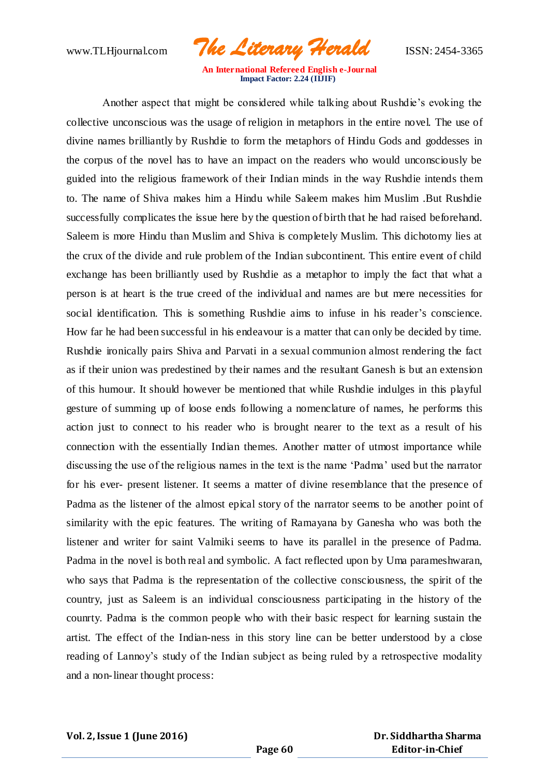www.TLHjournal.com *The Literary Herald*ISSN: 2454-3365

Another aspect that might be considered while talking about Rushdie's evoking the collective unconscious was the usage of religion in metaphors in the entire novel. The use of divine names brilliantly by Rushdie to form the metaphors of Hindu Gods and goddesses in the corpus of the novel has to have an impact on the readers who would unconsciously be guided into the religious framework of their Indian minds in the way Rushdie intends them to. The name of Shiva makes him a Hindu while Saleem makes him Muslim .But Rushdie successfully complicates the issue here by the question of birth that he had raised beforehand. Saleem is more Hindu than Muslim and Shiva is completely Muslim. This dichotomy lies at the crux of the divide and rule problem of the Indian subcontinent. This entire event of child exchange has been brilliantly used by Rushdie as a metaphor to imply the fact that what a person is at heart is the true creed of the individual and names are but mere necessities for social identification. This is something Rushdie aims to infuse in his reader's conscience. How far he had been successful in his endeavour is a matter that can only be decided by time. Rushdie ironically pairs Shiva and Parvati in a sexual communion almost rendering the fact as if their union was predestined by their names and the resultant Ganesh is but an extension of this humour. It should however be mentioned that while Rushdie indulges in this playful gesture of summing up of loose ends following a nomenclature of names, he performs this action just to connect to his reader who is brought nearer to the text as a result of his connection with the essentially Indian themes. Another matter of utmost importance while discussing the use of the religious names in the text is the name 'Padma' used but the narrator for his ever- present listener. It seems a matter of divine resemblance that the presence of Padma as the listener of the almost epical story of the narrator seems to be another point of similarity with the epic features. The writing of Ramayana by Ganesha who was both the listener and writer for saint Valmiki seems to have its parallel in the presence of Padma. Padma in the novel is both real and symbolic. A fact reflected upon by Uma parameshwaran, who says that Padma is the representation of the collective consciousness, the spirit of the country, just as Saleem is an individual consciousness participating in the history of the counrty. Padma is the common people who with their basic respect for learning sustain the artist. The effect of the Indian-ness in this story line can be better understood by a close reading of Lannoy's study of the Indian subject as being ruled by a retrospective modality and a non-linear thought process: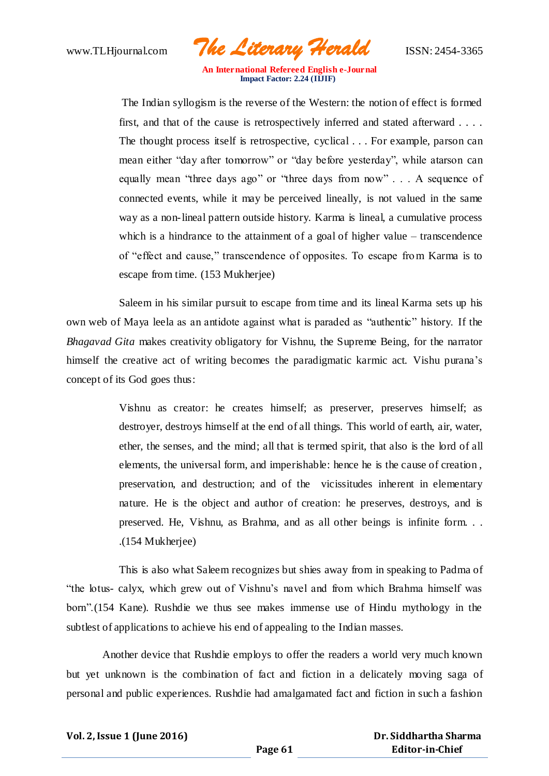www.TLHjournal.com *The Literary Herald*ISSN: 2454-3365

The Indian syllogism is the reverse of the Western: the notion of effect is formed first, and that of the cause is retrospectively inferred and stated afterward . . . . The thought process itself is retrospective, cyclical . . . For example, parson can mean either "day after tomorrow" or "day before yesterday", while atarson can equally mean "three days ago" or "three days from now" . . . A sequence of connected events, while it may be perceived lineally, is not valued in the same way as a non-lineal pattern outside history. Karma is lineal, a cumulative process which is a hindrance to the attainment of a goal of higher value – transcendence of "effect and cause," transcendence of opposites. To escape from Karma is to escape from time. (153 Mukherjee)

Saleem in his similar pursuit to escape from time and its lineal Karma sets up his own web of Maya leela as an antidote against what is paraded as "authentic" history. If the *Bhagavad Gita* makes creativity obligatory for Vishnu, the Supreme Being, for the narrator himself the creative act of writing becomes the paradigmatic karmic act. Vishu purana's concept of its God goes thus:

> Vishnu as creator: he creates himself; as preserver, preserves himself; as destroyer, destroys himself at the end of all things. This world of earth, air, water, ether, the senses, and the mind; all that is termed spirit, that also is the lord of all elements, the universal form, and imperishable: hence he is the cause of creation , preservation, and destruction; and of the vicissitudes inherent in elementary nature. He is the object and author of creation: he preserves, destroys, and is preserved. He, Vishnu, as Brahma, and as all other beings is infinite form. . . .(154 Mukherjee)

This is also what Saleem recognizes but shies away from in speaking to Padma of "the lotus- calyx, which grew out of Vishnu's navel and from which Brahma himself was born".(154 Kane). Rushdie we thus see makes immense use of Hindu mythology in the subtlest of applications to achieve his end of appealing to the Indian masses.

Another device that Rushdie employs to offer the readers a world very much known but yet unknown is the combination of fact and fiction in a delicately moving saga of personal and public experiences. Rushdie had amalgamated fact and fiction in such a fashion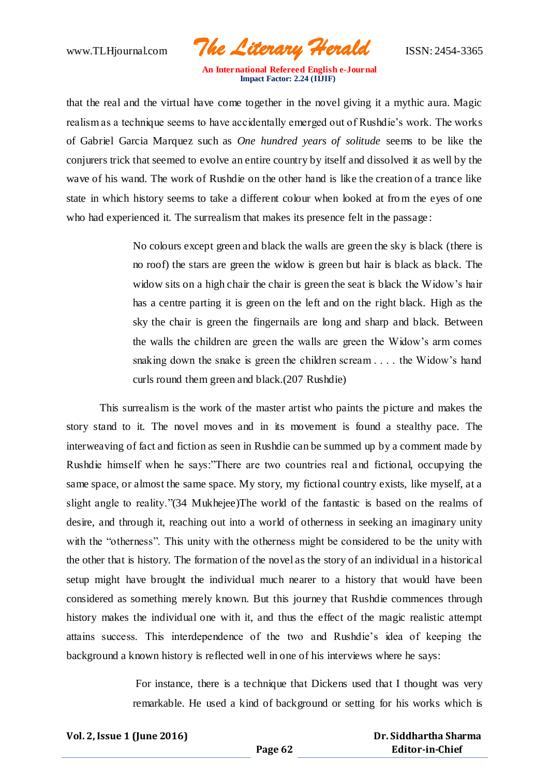www.TLHjournal.com *The Literary Herald*ISSN: 2454-3365

that the real and the virtual have come together in the novel giving it a mythic aura. Magic realism as a technique seems to have accidentally emerged out of Rushdie's work. The works of Gabriel Garcia Marquez such as *One hundred years of solitude* seems to be like the conjurers trick that seemed to evolve an entire country by itself and dissolved it as well by the wave of his wand. The work of Rushdie on the other hand is like the creation of a trance like state in which history seems to take a different colour when looked at from the eyes of one who had experienced it. The surrealism that makes its presence felt in the passage :

> No colours except green and black the walls are green the sky is black (there is no roof) the stars are green the widow is green but hair is black as black. The widow sits on a high chair the chair is green the seat is black the Widow's hair has a centre parting it is green on the left and on the right black. High as the sky the chair is green the fingernails are long and sharp and black. Between the walls the children are green the walls are green the Widow's arm comes snaking down the snake is green the children scream . . . . the Widow's hand curls round them green and black.(207 Rushdie)

This surrealism is the work of the master artist who paints the picture and makes the story stand to it. The novel moves and in its movement is found a stealthy pace. The interweaving of fact and fiction as seen in Rushdie can be summed up by a comment made by Rushdie himself when he says:"There are two countries real and fictional, occupying the same space, or almost the same space. My story, my fictional country exists, like myself, at a slight angle to reality."(34 Mukhejee)The world of the fantastic is based on the realms of desire, and through it, reaching out into a world of otherness in seeking an imaginary unity with the "otherness". This unity with the otherness might be considered to be the unity with the other that is history. The formation of the novel as the story of an individual in a historical setup might have brought the individual much nearer to a history that would have been considered as something merely known. But this journey that Rushdie commences through history makes the individual one with it, and thus the effect of the magic realistic attempt attains success. This interdependence of the two and Rushdie's idea of keeping the background a known history is reflected well in one of his interviews where he says:

> For instance, there is a technique that Dickens used that I thought was very remarkable. He used a kind of background or setting for his works which is

**Vol. 2, Issue 1 (June 2016)**

 **Dr. Siddhartha Sharma Editor-in-Chief**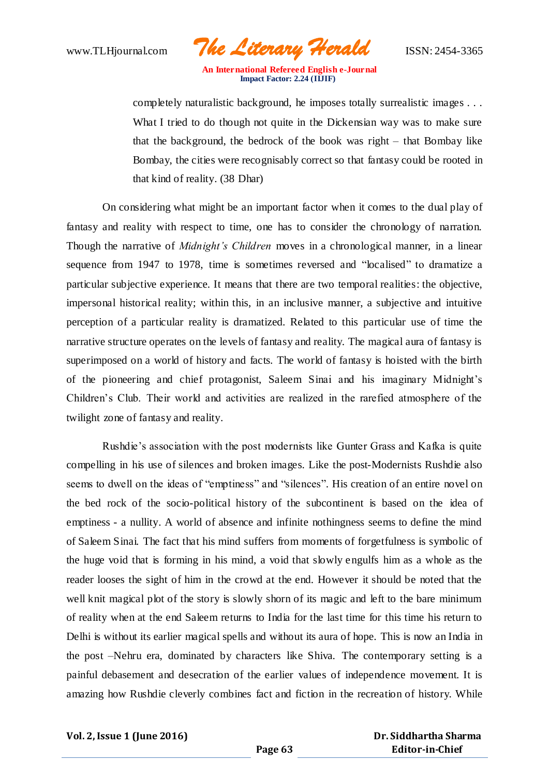www.TLHjournal.com *The Literary Herald*ISSN: 2454-3365

completely naturalistic background, he imposes totally surrealistic images . . . What I tried to do though not quite in the Dickensian way was to make sure that the background, the bedrock of the book was right – that Bombay like Bombay, the cities were recognisably correct so that fantasy could be rooted in that kind of reality. (38 Dhar)

On considering what might be an important factor when it comes to the dual play of fantasy and reality with respect to time, one has to consider the chronology of narration. Though the narrative of *Midnight's Children* moves in a chronological manner, in a linear sequence from 1947 to 1978, time is sometimes reversed and "localised" to dramatize a particular subjective experience. It means that there are two temporal realities: the objective, impersonal historical reality; within this, in an inclusive manner, a subjective and intuitive perception of a particular reality is dramatized. Related to this particular use of time the narrative structure operates on the levels of fantasy and reality. The magical aura of fantasy is superimposed on a world of history and facts. The world of fantasy is hoisted with the birth of the pioneering and chief protagonist, Saleem Sinai and his imaginary Midnight's Children's Club. Their world and activities are realized in the rarefied atmosphere of the twilight zone of fantasy and reality.

Rushdie's association with the post modernists like Gunter Grass and Kafka is quite compelling in his use of silences and broken images. Like the post-Modernists Rushdie also seems to dwell on the ideas of "emptiness" and "silences". His creation of an entire novel on the bed rock of the socio-political history of the subcontinent is based on the idea of emptiness - a nullity. A world of absence and infinite nothingness seems to define the mind of Saleem Sinai. The fact that his mind suffers from moments of forgetfulness is symbolic of the huge void that is forming in his mind, a void that slowly engulfs him as a whole as the reader looses the sight of him in the crowd at the end. However it should be noted that the well knit magical plot of the story is slowly shorn of its magic and left to the bare minimum of reality when at the end Saleem returns to India for the last time for this time his return to Delhi is without its earlier magical spells and without its aura of hope. This is now an India in the post –Nehru era, dominated by characters like Shiva. The contemporary setting is a painful debasement and desecration of the earlier values of independence movement. It is amazing how Rushdie cleverly combines fact and fiction in the recreation of history. While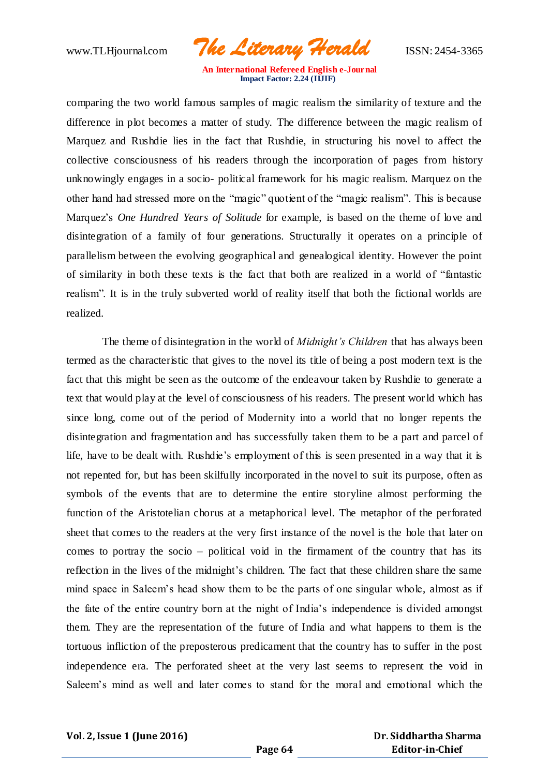www.TLHjournal.com *The Literary Herald*ISSN: 2454-3365

comparing the two world famous samples of magic realism the similarity of texture and the difference in plot becomes a matter of study. The difference between the magic realism of Marquez and Rushdie lies in the fact that Rushdie, in structuring his novel to affect the collective consciousness of his readers through the incorporation of pages from history unknowingly engages in a socio- political framework for his magic realism. Marquez on the other hand had stressed more on the "magic" quotient of the "magic realism". This is because Marquez's *One Hundred Years of Solitude* for example, is based on the theme of love and disintegration of a family of four generations. Structurally it operates on a principle of parallelism between the evolving geographical and genealogical identity. However the point of similarity in both these texts is the fact that both are realized in a world of "fantastic realism". It is in the truly subverted world of reality itself that both the fictional worlds are realized.

The theme of disintegration in the world of *Midnight's Children* that has always been termed as the characteristic that gives to the novel its title of being a post modern text is the fact that this might be seen as the outcome of the endeavour taken by Rushdie to generate a text that would play at the level of consciousness of his readers. The present world which has since long, come out of the period of Modernity into a world that no longer repents the disintegration and fragmentation and has successfully taken them to be a part and parcel of life, have to be dealt with. Rushdie's employment of this is seen presented in a way that it is not repented for, but has been skilfully incorporated in the novel to suit its purpose, often as symbols of the events that are to determine the entire storyline almost performing the function of the Aristotelian chorus at a metaphorical level. The metaphor of the perforated sheet that comes to the readers at the very first instance of the novel is the hole that later on comes to portray the socio – political void in the firmament of the country that has its reflection in the lives of the midnight's children. The fact that these children share the same mind space in Saleem's head show them to be the parts of one singular whole, almost as if the fate of the entire country born at the night of India's independence is divided amongst them. They are the representation of the future of India and what happens to them is the tortuous infliction of the preposterous predicament that the country has to suffer in the post independence era. The perforated sheet at the very last seems to represent the void in Saleem's mind as well and later comes to stand for the moral and emotional which the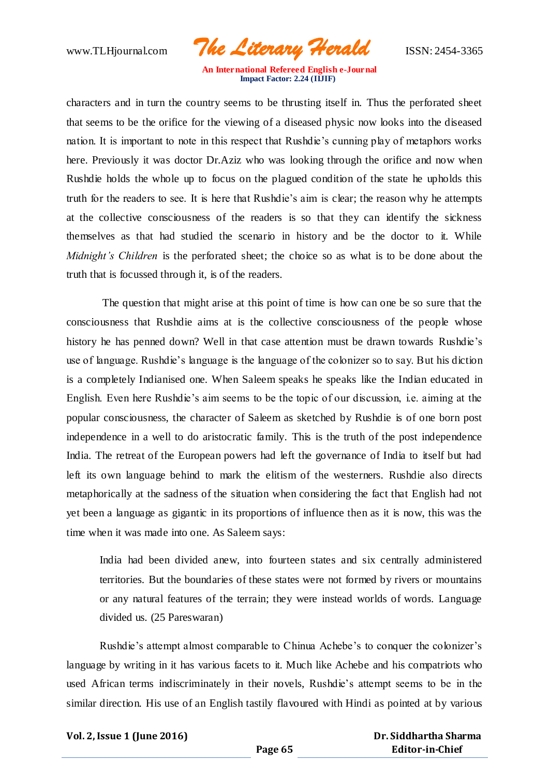www.TLHjournal.com *The Literary Herald*ISSN: 2454-3365

characters and in turn the country seems to be thrusting itself in. Thus the perforated sheet that seems to be the orifice for the viewing of a diseased physic now looks into the diseased nation. It is important to note in this respect that Rushdie's cunning play of metaphors works here. Previously it was doctor Dr.Aziz who was looking through the orifice and now when Rushdie holds the whole up to focus on the plagued condition of the state he upholds this truth for the readers to see. It is here that Rushdie's aim is clear; the reason why he attempts at the collective consciousness of the readers is so that they can identify the sickness themselves as that had studied the scenario in history and be the doctor to it. While *Midnight's Children* is the perforated sheet; the choice so as what is to be done about the truth that is focussed through it, is of the readers.

The question that might arise at this point of time is how can one be so sure that the consciousness that Rushdie aims at is the collective consciousness of the people whose history he has penned down? Well in that case attention must be drawn towards Rushdie's use of language. Rushdie's language is the language of the colonizer so to say. But his diction is a completely Indianised one. When Saleem speaks he speaks like the Indian educated in English. Even here Rushdie's aim seems to be the topic of our discussion, i.e. aiming at the popular consciousness, the character of Saleem as sketched by Rushdie is of one born post independence in a well to do aristocratic family. This is the truth of the post independence India. The retreat of the European powers had left the governance of India to itself but had left its own language behind to mark the elitism of the westerners. Rushdie also directs metaphorically at the sadness of the situation when considering the fact that English had not yet been a language as gigantic in its proportions of influence then as it is now, this was the time when it was made into one. As Saleem says:

India had been divided anew, into fourteen states and six centrally administered territories. But the boundaries of these states were not formed by rivers or mountains or any natural features of the terrain; they were instead worlds of words. Language divided us. (25 Pareswaran)

Rushdie's attempt almost comparable to Chinua Achebe's to conquer the colonizer's language by writing in it has various facets to it. Much like Achebe and his compatriots who used African terms indiscriminately in their novels, Rushdie's attempt seems to be in the similar direction. His use of an English tastily flavoured with Hindi as pointed at by various

**Vol. 2, Issue 1 (June 2016)**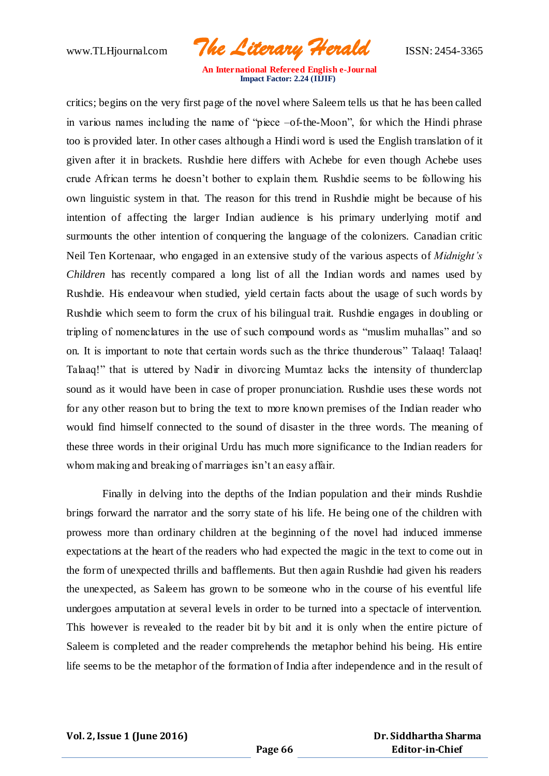www.TLHjournal.com *The Literary Herald*ISSN: 2454-3365

critics; begins on the very first page of the novel where Saleem tells us that he has been called in various names including the name of "piece –of-the-Moon", for which the Hindi phrase too is provided later. In other cases although a Hindi word is used the English translation of it given after it in brackets. Rushdie here differs with Achebe for even though Achebe uses crude African terms he doesn't bother to explain them. Rushdie seems to be following his own linguistic system in that. The reason for this trend in Rushdie might be because of his intention of affecting the larger Indian audience is his primary underlying motif and surmounts the other intention of conquering the language of the colonizers. Canadian critic Neil Ten Kortenaar, who engaged in an extensive study of the various aspects of *Midnight's Children* has recently compared a long list of all the Indian words and names used by Rushdie. His endeavour when studied, yield certain facts about the usage of such words by Rushdie which seem to form the crux of his bilingual trait. Rushdie engages in doubling or tripling of nomenclatures in the use of such compound words as "muslim muhallas" and so on. It is important to note that certain words such as the thrice thunderous" Talaaq! Talaaq! Talaaq!" that is uttered by Nadir in divorcing Mumtaz lacks the intensity of thunderclap sound as it would have been in case of proper pronunciation. Rushdie uses these words not for any other reason but to bring the text to more known premises of the Indian reader who would find himself connected to the sound of disaster in the three words. The meaning of these three words in their original Urdu has much more significance to the Indian readers for whom making and breaking of marriages isn't an easy affair.

Finally in delving into the depths of the Indian population and their minds Rushdie brings forward the narrator and the sorry state of his life. He being one of the children with prowess more than ordinary children at the beginning of the novel had induced immense expectations at the heart of the readers who had expected the magic in the text to come out in the form of unexpected thrills and bafflements. But then again Rushdie had given his readers the unexpected, as Saleem has grown to be someone who in the course of his eventful life undergoes amputation at several levels in order to be turned into a spectacle of intervention. This however is revealed to the reader bit by bit and it is only when the entire picture of Saleem is completed and the reader comprehends the metaphor behind his being. His entire life seems to be the metaphor of the formation of India after independence and in the result of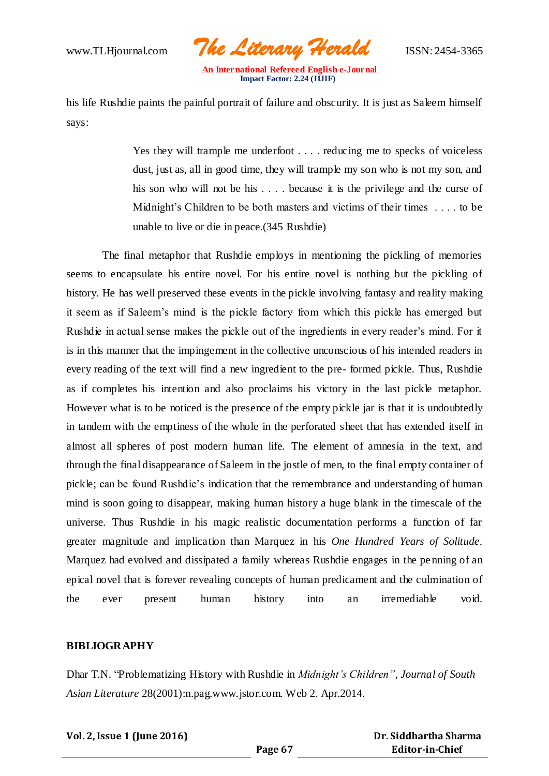www.TLHjournal.com *The Literary Herald*ISSN: 2454-3365

 **An International Refereed English e-Journal Impact Factor: 2.24 (IIJIF)**

his life Rushdie paints the painful portrait of failure and obscurity. It is just as Saleem himself says:

> Yes they will trample me underfoot . . . . reducing me to specks of voiceless dust, just as, all in good time, they will trample my son who is not my son, and his son who will not be his . . . . because it is the privilege and the curse of Midnight's Children to be both masters and victims of their times . . . . to be unable to live or die in peace.(345 Rushdie)

The final metaphor that Rushdie employs in mentioning the pickling of memories seems to encapsulate his entire novel. For his entire novel is nothing but the pickling of history. He has well preserved these events in the pickle involving fantasy and reality making it seem as if Saleem's mind is the pickle factory from which this pickle has emerged but Rushdie in actual sense makes the pickle out of the ingredients in every reader's mind. For it is in this manner that the impingement in the collective unconscious of his intended readers in every reading of the text will find a new ingredient to the pre- formed pickle. Thus, Rushdie as if completes his intention and also proclaims his victory in the last pickle metaphor. However what is to be noticed is the presence of the empty pickle jar is that it is undoubtedly in tandem with the emptiness of the whole in the perforated sheet that has extended itself in almost all spheres of post modern human life. The element of amnesia in the text, and through the final disappearance of Saleem in the jostle of men, to the final empty container of pickle; can be found Rushdie's indication that the remembrance and understanding of human mind is soon going to disappear, making human history a huge blank in the timescale of the universe. Thus Rushdie in his magic realistic documentation performs a function of far greater magnitude and implication than Marquez in his *One Hundred Years of Solitude*. Marquez had evolved and dissipated a family whereas Rushdie engages in the pe nning of an epical novel that is forever revealing concepts of human predicament and the culmination of the ever present human history into an irremediable void.

## **BIBLIOGRAPHY**

Dhar T.N. "Problematizing History with Rushdie in *Midnight's Children"*, *Journal of South Asian Literature* 28(2001):n.pag.www.jstor.com. Web 2. Apr.2014.